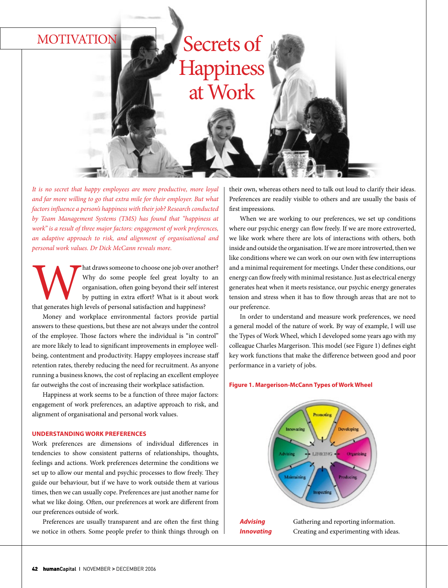## MOTIVATION

# Secrets of **Happiness** at Work

*It is no secret that happy employees are more productive, more loyal and far more willing to go that extra mile for their employer. But what factors influence a person's happiness with their job? Research conducted by Team Management Systems (TMS) has found that "happiness at work" is a result of three major factors: engagement of work preferences, an adaptive approach to risk, and alignment of organisational and personal work values. Dr Dick McCann reveals more.*

Mat draws someone to choose one job over another?<br>
Why do some people feel great loyalty to an organisation, often going beyond their self interest<br>
by putting in extra effort? What is it about work<br>
that generates high le Why do some people feel great loyalty to an organisation, often going beyond their self interest by putting in extra effort? What is it about work

Money and workplace environmental factors provide partial answers to these questions, but these are not always under the control of the employee. Those factors where the individual is "in control" are more likely to lead to significant improvements in employee wellbeing, contentment and productivity. Happy employees increase staff retention rates, thereby reducing the need for recruitment. As anyone running a business knows, the cost of replacing an excellent employee far outweighs the cost of increasing their workplace satisfaction.

Happiness at work seems to be a function of three major factors: engagement of work preferences, an adaptive approach to risk, and alignment of organisational and personal work values.

#### **Understanding work preferences**

Work preferences are dimensions of individual differences in tendencies to show consistent patterns of relationships, thoughts, feelings and actions. Work preferences determine the conditions we set up to allow our mental and psychic processes to flow freely. They guide our behaviour, but if we have to work outside them at various times, then we can usually cope. Preferences are just another name for what we like doing. Often, our preferences at work are different from our preferences outside of work.

Preferences are usually transparent and are often the first thing we notice in others. Some people prefer to think things through on

their own, whereas others need to talk out loud to clarify their ideas. Preferences are readily visible to others and are usually the basis of first impressions.

When we are working to our preferences, we set up conditions where our psychic energy can flow freely. If we are more extroverted, we like work where there are lots of interactions with others, both inside and outside the organisation. If we are more introverted, then we like conditions where we can work on our own with few interruptions and a minimal requirement for meetings. Under these conditions, our energy can flow freely with minimal resistance. Just as electrical energy generates heat when it meets resistance, our psychic energy generates tension and stress when it has to flow through areas that are not to our preference.

In order to understand and measure work preferences, we need a general model of the nature of work. By way of example, I will use the Types of Work Wheel, which I developed some years ago with my colleague Charles Margerison. This model (see Figure 1) defines eight key work functions that make the difference between good and poor performance in a variety of jobs.

#### **Figure 1. Margerison-McCann Types of Work Wheel**



**Innovating** Creating and experimenting with ideas.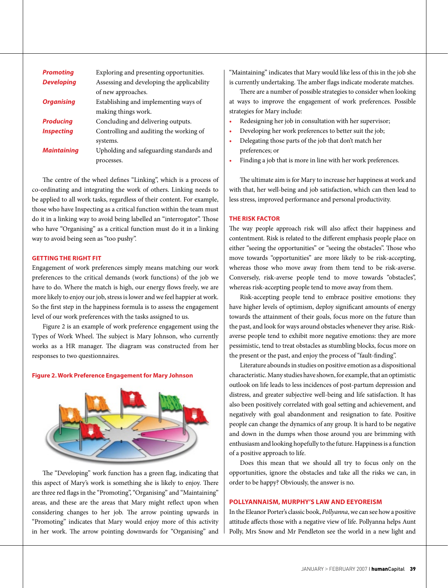| <b>Promoting</b>   | Exploring and presenting opportunities.    |
|--------------------|--------------------------------------------|
| <b>Developing</b>  | Assessing and developing the applicability |
|                    | of new approaches.                         |
| <b>Organising</b>  | Establishing and implementing ways of      |
|                    | making things work.                        |
| <b>Producing</b>   | Concluding and delivering outputs.         |
| <b>Inspecting</b>  | Controlling and auditing the working of    |
|                    | systems.                                   |
| <b>Maintaining</b> | Upholding and safeguarding standards and   |
|                    | processes.                                 |

The centre of the wheel defines "Linking", which is a process of co-ordinating and integrating the work of others. Linking needs to be applied to all work tasks, regardless of their content. For example, those who have Inspecting as a critical function within the team must do it in a linking way to avoid being labelled an "interrogator". Those who have "Organising" as a critical function must do it in a linking way to avoid being seen as "too pushy".

#### **Getting the right fit**

Engagement of work preferences simply means matching our work preferences to the critical demands (work functions) of the job we have to do. Where the match is high, our energy flows freely, we are more likely to enjoy our job, stress is lower and we feel happier at work. So the first step in the happiness formula is to assess the engagement level of our work preferences with the tasks assigned to us.

Figure 2 is an example of work preference engagement using the Types of Work Wheel. The subject is Mary Johnson, who currently works as a HR manager. The diagram was constructed from her responses to two questionnaires.

#### **Figure 2. Work Preference Engagement for Mary Johnson**



The "Developing" work function has a green flag, indicating that this aspect of Mary's work is something she is likely to enjoy. There are three red flags in the "Promoting", "Organising" and "Maintaining" areas, and these are the areas that Mary might reflect upon when considering changes to her job. The arrow pointing upwards in "Promoting" indicates that Mary would enjoy more of this activity in her work. The arrow pointing downwards for "Organising" and

"Maintaining" indicates that Mary would like less of this in the job she is currently undertaking. The amber flags indicate moderate matches.

There are a number of possible strategies to consider when looking at ways to improve the engagement of work preferences. Possible strategies for Mary include:

- Redesigning her job in consultation with her supervisor;
- Developing her work preferences to better suit the job;
- Delegating those parts of the job that don't match her preferences; or
- Finding a job that is more in line with her work preferences.

The ultimate aim is for Mary to increase her happiness at work and with that, her well-being and job satisfaction, which can then lead to less stress, improved performance and personal productivity.

#### **The risk factor**

The way people approach risk will also affect their happiness and contentment. Risk is related to the different emphasis people place on either "seeing the opportunities" or "seeing the obstacles". Those who move towards "opportunities" are more likely to be risk-accepting, whereas those who move away from them tend to be risk-averse. Conversely, risk-averse people tend to move towards "obstacles", whereas risk-accepting people tend to move away from them.

Risk-accepting people tend to embrace positive emotions: they have higher levels of optimism, deploy significant amounts of energy towards the attainment of their goals, focus more on the future than the past, and look for ways around obstacles whenever they arise. Riskaverse people tend to exhibit more negative emotions: they are more pessimistic, tend to treat obstacles as stumbling blocks, focus more on the present or the past, and enjoy the process of "fault-finding".

Literature abounds in studies on positive emotion as a dispositional characteristic. Many studies have shown, for example, that an optimistic outlook on life leads to less incidences of post-partum depression and distress, and greater subjective well-being and life satisfaction. It has also been positively correlated with goal setting and achievement, and negatively with goal abandonment and resignation to fate. Positive people can change the dynamics of any group. It is hard to be negative and down in the dumps when those around you are brimming with enthusiasm and looking hopefully to the future. Happiness is a function of a positive approach to life.

Does this mean that we should all try to focus only on the opportunities, ignore the obstacles and take all the risks we can, in order to be happy? Obviously, the answer is no.

#### **Pollyannaism, Murphy's Law and Eeyoreism**

In the Eleanor Porter's classic book, *Pollyanna*, we can see how a positive attitude affects those with a negative view of life. Pollyanna helps Aunt Polly, Mrs Snow and Mr Pendleton see the world in a new light and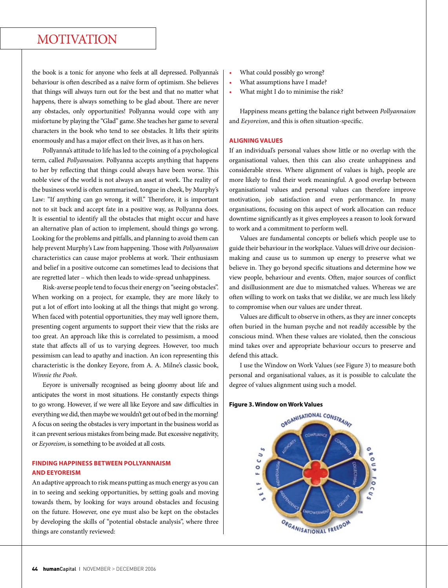## MOTIVATION

the book is a tonic for anyone who feels at all depressed. Pollyanna's behaviour is often described as a naïve form of optimism. She believes that things will always turn out for the best and that no matter what happens, there is always something to be glad about. There are never any obstacles, only opportunities! Pollyanna would cope with any misfortune by playing the "Glad" game. She teaches her game to several characters in the book who tend to see obstacles. It lifts their spirits enormously and has a major effect on their lives, as it has on hers.

Pollyanna's attitude to life has led to the coining of a psychological term, called *Pollyannaism*. Pollyanna accepts anything that happens to her by reflecting that things could always have been worse. This noble view of the world is not always an asset at work. The reality of the business world is often summarised, tongue in cheek, by Murphy's Law: "If anything can go wrong, it will." Therefore, it is important not to sit back and accept fate in a positive way, as Pollyanna does. It is essential to identify all the obstacles that might occur and have an alternative plan of action to implement, should things go wrong. Looking for the problems and pitfalls, and planning to avoid them can help prevent Murphy's Law from happening. Those with *Pollyannaism* characteristics can cause major problems at work. Their enthusiasm and belief in a positive outcome can sometimes lead to decisions that are regretted later – which then leads to wide-spread unhappiness.

Risk-averse people tend to focus their energy on "seeing obstacles". When working on a project, for example, they are more likely to put a lot of effort into looking at all the things that might go wrong. When faced with potential opportunities, they may well ignore them, presenting cogent arguments to support their view that the risks are too great. An approach like this is correlated to pessimism, a mood state that affects all of us to varying degrees. However, too much pessimism can lead to apathy and inaction. An icon representing this characteristic is the donkey Eeyore, from A. A. Milne's classic book, *Winnie the Pooh*.

Eeyore is universally recognised as being gloomy about life and anticipates the worst in most situations. He constantly expects things to go wrong. However, if we were all like Eeyore and saw difficulties in everything we did, then maybe we wouldn't get out of bed in the morning! A focus on seeing the obstacles is very important in the business world as it can prevent serious mistakes from being made. But excessive negativity, or *Eeyoreism*, is something to be avoided at all costs.

#### **Finding happiness between Pollyannaism and Eeyoreism**

An adaptive approach to risk means putting as much energy as you can in to seeing and seeking opportunities, by setting goals and moving towards them, by looking for ways around obstacles and focusing on the future. However, one eye must also be kept on the obstacles by developing the skills of "potential obstacle analysis", where three things are constantly reviewed:

- What could possibly go wrong?
- What assumptions have I made?
- What might I do to minimise the risk?

Happiness means getting the balance right between *Pollyannaism*  and *Eeyoreism*, and this is often situation-specific.

#### **Aligning values**

If an individual's personal values show little or no overlap with the organisational values, then this can also create unhappiness and considerable stress. Where alignment of values is high, people are more likely to find their work meaningful. A good overlap between organisational values and personal values can therefore improve motivation, job satisfaction and even performance. In many organisations, focusing on this aspect of work allocation can reduce downtime significantly as it gives employees a reason to look forward to work and a commitment to perform well.

Values are fundamental concepts or beliefs which people use to guide their behaviour in the workplace. Values will drive our decisionmaking and cause us to summon up energy to preserve what we believe in. They go beyond specific situations and determine how we view people, behaviour and events. Often, major sources of conflict and disillusionment are due to mismatched values. Whereas we are often willing to work on tasks that we dislike, we are much less likely to compromise when our values are under threat.

Values are difficult to observe in others, as they are inner concepts often buried in the human psyche and not readily accessible by the conscious mind. When these values are violated, then the conscious mind takes over and appropriate behaviour occurs to preserve and defend this attack.

I use the Window on Work Values (see Figure 3) to measure both personal and organisational values, as it is possible to calculate the degree of values alignment using such a model.

#### **Figure 3. Window on Work Values**